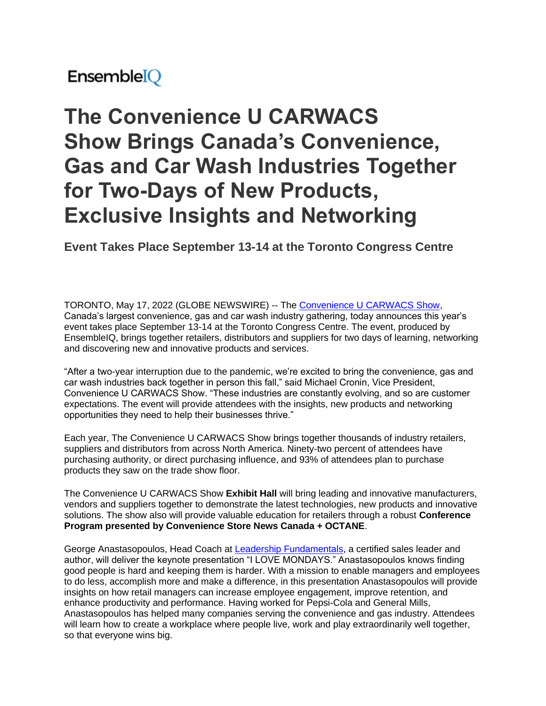## EnsembleIQ

# **The Convenience U CARWACS Show Brings Canada's Convenience, Gas and Car Wash Industries Together for Two-Days of New Products, Exclusive Insights and Networking**

**Event Takes Place September 13-14 at the Toronto Congress Centre**

TORONTO, May 17, 2022 (GLOBE NEWSWIRE) -- The [Convenience U CARWACS Show,](https://www.globenewswire.com/Tracker?data=fWgahvCPfWZzShgFaF_3cb5oE3V-h4MmcGrJG-XK4pIpfzeowCPy8tf2KMXaB5wr134AUUpTpyIBZp--1Y0-qeuDAoR02uMY960KEYl8mts=) Canada's largest convenience, gas and car wash industry gathering, today announces this year's event takes place September 13-14 at the Toronto Congress Centre. The event, produced by EnsembleIQ, brings together retailers, distributors and suppliers for two days of learning, networking and discovering new and innovative products and services.

"After a two-year interruption due to the pandemic, we're excited to bring the convenience, gas and car wash industries back together in person this fall," said Michael Cronin, Vice President, Convenience U CARWACS Show. "These industries are constantly evolving, and so are customer expectations. The event will provide attendees with the insights, new products and networking opportunities they need to help their businesses thrive."

Each year, The Convenience U CARWACS Show brings together thousands of industry retailers, suppliers and distributors from across North America. Ninety-two percent of attendees have purchasing authority, or direct purchasing influence, and 93% of attendees plan to purchase products they saw on the trade show floor.

The Convenience U CARWACS Show **Exhibit Hall** will bring leading and innovative manufacturers, vendors and suppliers together to demonstrate the latest technologies, new products and innovative solutions. The show also will provide valuable education for retailers through a robust **Conference Program presented by Convenience Store News Canada + OCTANE**.

George Anastasopoulos, Head Coach at [Leadership Fundamentals,](https://www.globenewswire.com/Tracker?data=sPPTkVITfmVPWJDcL0aY3TUamoa6gsY3jKMbNx7BSUoOQ5jkkyb-kS58jw83aQlc-wCe6ju9GYU2o-4LsfohiU3WpYVhTxKRPV3UzPQ3lF-6qhuzuKEGFezPXNGCd1Fv) a certified sales leader and author, will deliver the keynote presentation "I LOVE MONDAYS." Anastasopoulos knows finding good people is hard and keeping them is harder. With a mission to enable managers and employees to do less, accomplish more and make a difference, in this presentation Anastasopoulos will provide insights on how retail managers can increase employee engagement, improve retention, and enhance productivity and performance. Having worked for Pepsi-Cola and General Mills, Anastasopoulos has helped many companies serving the convenience and gas industry. Attendees will learn how to create a workplace where people live, work and play extraordinarily well together, so that everyone wins big.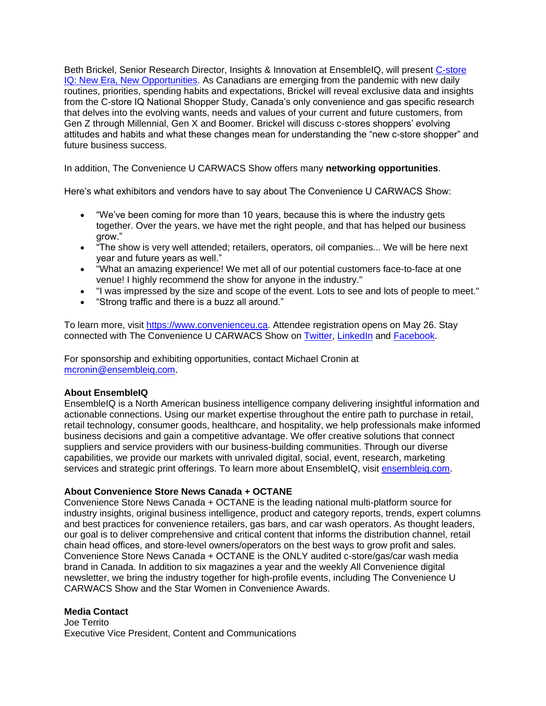Beth Brickel, Senior Research Director, Insights & Innovation at EnsembleIQ, will present [C-store](https://www.globenewswire.com/Tracker?data=Tnn2rQP75zWqtLkRPeL4Ts0VPhd-Iktn3o8ctNWgUTuNrWqy1UwqpUOB0u4kl3lCbUjmomRQDNQMGnk3RXgBT46UFRVl0YVvkaOkHDElyt21XLvxblpTXm6YjfQAuqjZ1z3FjxDQ-wRIq2o0eodKjn7V9AKsXIPNw6bpHfAAr9Y=)  [IQ: New Era, New Opportunities.](https://www.globenewswire.com/Tracker?data=Tnn2rQP75zWqtLkRPeL4Ts0VPhd-Iktn3o8ctNWgUTuNrWqy1UwqpUOB0u4kl3lCbUjmomRQDNQMGnk3RXgBT46UFRVl0YVvkaOkHDElyt21XLvxblpTXm6YjfQAuqjZ1z3FjxDQ-wRIq2o0eodKjn7V9AKsXIPNw6bpHfAAr9Y=) As Canadians are emerging from the pandemic with new daily routines, priorities, spending habits and expectations, Brickel will reveal exclusive data and insights from the C-store IQ National Shopper Study, Canada's only convenience and gas specific research that delves into the evolving wants, needs and values of your current and future customers, from Gen Z through Millennial, Gen X and Boomer. Brickel will discuss c-stores shoppers' evolving attitudes and habits and what these changes mean for understanding the "new c-store shopper" and future business success.

In addition, The Convenience U CARWACS Show offers many **networking opportunities**.

Here's what exhibitors and vendors have to say about The Convenience U CARWACS Show:

- "We've been coming for more than 10 years, because this is where the industry gets together. Over the years, we have met the right people, and that has helped our business grow."
- "The show is very well attended; retailers, operators, oil companies... We will be here next year and future years as well."
- "What an amazing experience! We met all of our potential customers face-to-face at one venue! I highly recommend the show for anyone in the industry."
- "I was impressed by the size and scope of the event. Lots to see and lots of people to meet."
- "Strong traffic and there is a buzz all around."

To learn more, visit [https://www.convenienceu.ca.](https://www.globenewswire.com/Tracker?data=pMtYKiWcCmmDKfyP8rBWNtDS8v3gIm4obtE9mVGVpYXZ7mtGajLe_wleRoKfp_kzv7hiN-WNJPX0PiRcDZ0qaHlcNCt5m90BDGs6GJ5XmnU=) Attendee registration opens on May 26. Stay connected with The Convenience U CARWACS Show on [Twitter,](https://www.globenewswire.com/Tracker?data=y-0n_eaqNCjS2--WKP1fTsB5y2iUWkeKQ16qEVjDSPHviZgTgdBsAvI6e4tgXY6FYDf3QCOU29NHndhROb2Jxg==) [LinkedIn](https://www.globenewswire.com/Tracker?data=ls3uDXucVbbrAxZZgErlaTi7M5ZAzpTjW9Tg5Z2qqIwcHsMcSv39KMdnQDMpgyiKWchdHifYwBS4eAZQYhcxNq7-Fw4TNCkdSPU4Gz9vaKggyQ2BlhvyMhoa1Zl4L6L8IQdgHk-FdaDYzHxOfEEFmopsj7AuKt9hsuiSA5UmqMw=) and [Facebook.](https://www.globenewswire.com/Tracker?data=oML1g7zNyEQE9EL2f2jI2ttk-i3sATMpyTnQR7KTPIZ3QBA6QFFnVjE0zTGBuPAxbF1VphVpE7O-XlXtkAJbQqM5kIgbnvI2_OjsN1-vUF4=)

For sponsorship and exhibiting opportunities, contact Michael Cronin at [mcronin@ensembleiq.com.](https://www.globenewswire.com/Tracker?data=mtIJoiEodm6AnJrKsLw50FvBqSbs8Cbtr_yTMvW2gNbf3SSFEtebKYpOqaZA-anNM-sh1gB3-PvRS7SVIBppZvqw6KpTGDARt97_tYOuUt0=)

#### **About EnsembleIQ**

EnsembleIQ is a North American business intelligence company delivering insightful information and actionable connections. Using our market expertise throughout the entire path to purchase in retail, retail technology, consumer goods, healthcare, and hospitality, we help professionals make informed business decisions and gain a competitive advantage. We offer creative solutions that connect suppliers and service providers with our business-building communities. Through our diverse capabilities, we provide our markets with unrivaled digital, social, event, research, marketing services and strategic print offerings. To learn more about EnsembleIQ, visit [ensembleiq.com.](https://www.globenewswire.com/Tracker?data=2YSGeB4gOfskVPyAW65nHS1AXBmR3AmsToVsPxCRp50MjVJGUKNQNrT9Q-FmV7_xDkP3a0SskEYTceAo8Jmnp9K-uPpfhGSfCojR2PWG-ek=)

#### **About Convenience Store News Canada + OCTANE**

Convenience Store News Canada + OCTANE is the leading national multi-platform source for industry insights, original business intelligence, product and category reports, trends, expert columns and best practices for convenience retailers, gas bars, and car wash operators. As thought leaders, our goal is to deliver comprehensive and critical content that informs the distribution channel, retail chain head offices, and store-level owners/operators on the best ways to grow profit and sales. Convenience Store News Canada + OCTANE is the ONLY audited c-store/gas/car wash media brand in Canada. In addition to six magazines a year and the weekly All Convenience digital newsletter, we bring the industry together for high-profile events, including The Convenience U CARWACS Show and the Star Women in Convenience Awards.

#### **Media Contact**

Joe Territo Executive Vice President, Content and Communications